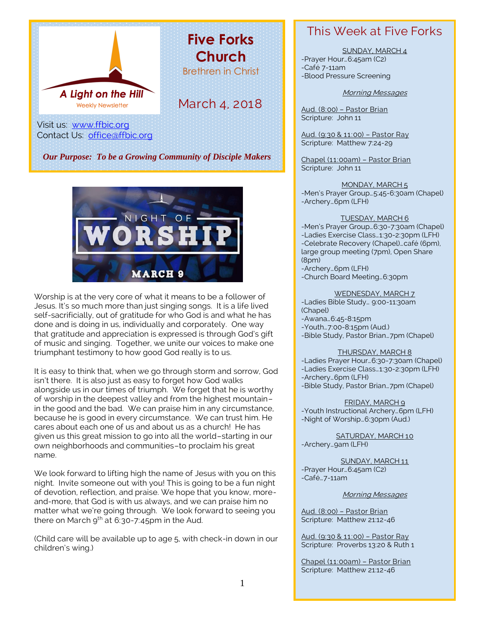

*Our Purpose: To be a Growing Community of Disciple Makers*



Worship is at the very core of what it means to be a follower of Jesus. It's so much more than just singing songs. It is a life lived self-sacrificially, out of gratitude for who God is and what he has done and is doing in us, individually and corporately. One way that gratitude and appreciation is expressed is through God's gift of music and singing. Together, we unite our voices to make one triumphant testimony to how good God really is to us.

It is easy to think that, when we go through storm and sorrow, God isn't there. It is also just as easy to forget how God walks alongside us in our times of triumph. We forget that he is worthy of worship in the deepest valley and from the highest mountain– in the good and the bad. We can praise him in any circumstance, because he is good in every circumstance. We can trust him. He cares about each one of us and about us as a church! He has given us this great mission to go into all the world–starting in our own neighborhoods and communities–to proclaim his great name.

We look forward to lifting high the name of Jesus with you on this night. Invite someone out with you! This is going to be a fun night of devotion, reflection, and praise. We hope that you know, moreand-more, that God is with us always, and we can praise him no matter what we're going through. We look forward to seeing you there on March  $9^{th}$  at 6:30-7:45pm in the Aud.

(Child care will be available up to age 5, with check-in down in our children's wing.)

### This Week at Five Forks

SUNDAY, MARCH 4 -Prayer Hour…6:45am (C2)

-Café 7-11am -Blood Pressure Screening

#### Morning Messages

Aud. (8:00) – Pastor Brian Scripture: John 11

Aud. (9:30 & 11:00) – Pastor Ray Scripture: Matthew 7:24-29

Chapel (11:00am) – Pastor Brian Scripture: John 11

MONDAY, MARCH 5 -Men's Prayer Group…5:45-6:30am (Chapel) -Archery…6pm (LFH)

#### TUESDAY, MARCH 6

-Men's Prayer Group…6:30-7:30am (Chapel) -Ladies Exercise Class…1:30-2:30pm (LFH) -Celebrate Recovery (Chapel)…café (6pm), large group meeting (7pm), Open Share (8pm)

-Archery…6pm (LFH) -Church Board Meeting…6:30pm

#### WEDNESDAY, MARCH 7

-Ladies Bible Study… 9:00-11:30am (Chapel)

-Awana…6:45-8:15pm

-Youth…7:00-8:15pm (Aud.) -Bible Study, Pastor Brian…7pm (Chapel)

#### THURSDAY, MARCH 8

-Ladies Prayer Hour…6:30-7:30am (Chapel) -Ladies Exercise Class…1:30-2:30pm (LFH) -Archery…6pm (LFH) -Bible Study, Pastor Brian…7pm (Chapel)

FRIDAY, MARCH 9 -Youth Instructional Archery…6pm (LFH) -Night of Worship…6:30pm (Aud.)

SATURDAY, MARCH 10 -Archery…9am (LFH)

SUNDAY, MARCH 11 -Prayer Hour…6:45am (C2) -Café…7-11am

Morning Messages

Aud. (8:00) – Pastor Brian Scripture: Matthew 21:12-46

Aud. (9:30 & 11:00) – Pastor Ray Scripture: Proverbs 13:20 & Ruth 1

Chapel (11:00am) – Pastor Brian Scripture: Matthew 21:12-46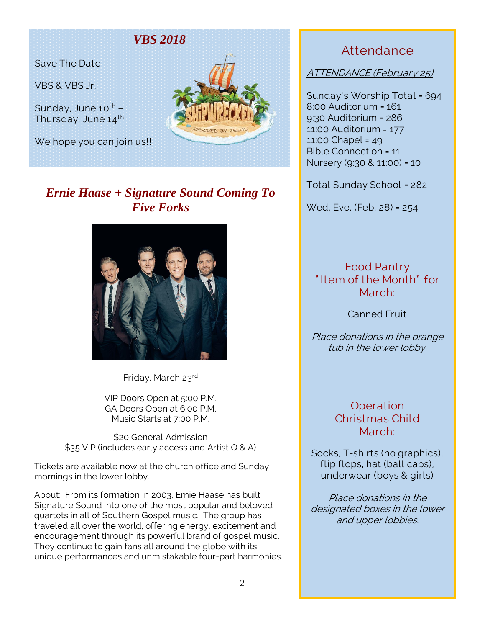### *VBS 2018*

Save The Date!

VBS & VBS Jr.

Sunday, June  $10^{th}$  – Thursday, June 14<sup>th</sup>

We hope you can join us!!



# *Ernie Haase + Signature Sound Coming To Five Forks*



Friday, March 23rd

VIP Doors Open at 5:00 P.M. GA Doors Open at 6:00 P.M. Music Starts at 7:00 P.M.

\$20 General Admission \$35 VIP (includes early access and Artist Q & A)

Tickets are available now at the church office and Sunday mornings in the lower lobby.

About: From its formation in 2003, Ernie Haase has built Signature Sound into one of the most popular and beloved quartets in all of Southern Gospel music. The group has traveled all over the world, offering energy, excitement and encouragement through its powerful brand of gospel music. They continue to gain fans all around the globe with its unique performances and unmistakable four-part harmonies.

# Attendance

ATTENDANCE (February 25)

Sunday's Worship Total = 694 8:00 Auditorium = 161 9:30 Auditorium = 286 11:00 Auditorium = 177 11:00 Chapel = 49 Bible Connection = 11 Nursery (9:30 & 11:00) = 10

Total Sunday School = 282

Wed. Eve. (Feb. 28) = 254

Food Pantry " Item of the Month" for March:

Canned Fruit

Place donations in the orange tub in the lower lobby.

### **Operation** Christmas Child March:

Socks, T-shirts (no graphics), flip flops, hat (ball caps), underwear (boys & girls)

Place donations in the designated boxes in the lower and upper lobbies.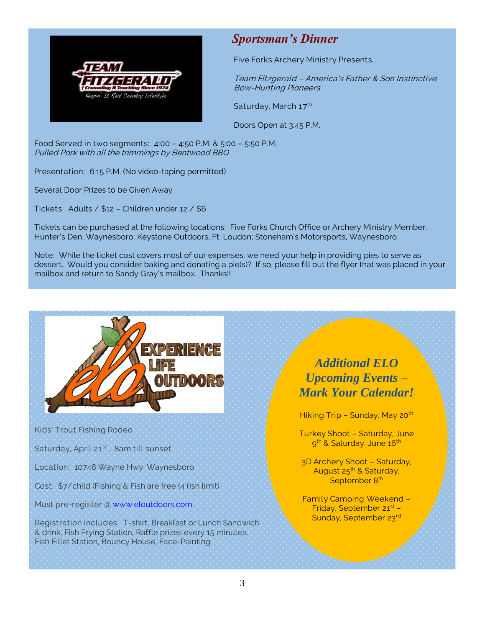

### *Sportsman's Dinner*

Five Forks Archery Ministry Presents…

Team Fitzgerald – America's Father & Son Instinctive Bow-Hunting Pioneers

Saturday, March 17<sup>th</sup>

Doors Open at 3:45 P.M.

Food Served in two segments: 4:00 – 4:50 P.M. & 5:00 – 5:50 P.M. Pulled Pork with all the trimmings by Bentwood BBQ

Presentation: 6:15 P.M. (No video-taping permitted)

Several Door Prizes to be Given Away

Tickets: Adults / \$12 – Children under 12 / \$6

Tickets can be purchased at the following locations: Five Forks Church Office or Archery Ministry Member; Hunter's Den, Waynesboro; Keystone Outdoors, Ft. Loudon; Stoneham's Motorsports, Waynesboro

Note: While the ticket cost covers most of our expenses, we need your help in providing pies to serve as dessert. Would you consider baking and donating a pie(s)? If so, please fill out the flyer that was placed in your mailbox and return to Sandy Gray's mailbox. Thanks!!



Kids' Trout Fishing Rodeo

Saturday, April 21<sup>st</sup> ... 8am till sunset

Location: 10748 Wayne Hwy. Waynesboro

Cost: \$7/child (Fishing & Fish are free (4 fish limit)

Must pre-register @ [www.eloutdoors.com](http://www.eloutdoors.com/)

Registration includes: T-shirt, Breakfast or Lunch Sandwich & drink, Fish Frying Station, Raffle prizes every 15 minutes, Fish Fillet Station, Bouncy House, Face-Painting

# *Additional ELO Upcoming Events – Mark Your Calendar!*

Hiking Trip - Sunday, May 20<sup>th</sup>

Turkey Shoot – Saturday, June 9<sup>th</sup> & Saturday, June 16<sup>th</sup>

3D Archery Shoot – Saturday, August 25<sup>th</sup> & Saturday, September 8<sup>th</sup>

Family Camping Weekend – Friday, September 21st – Sunday, September 23rd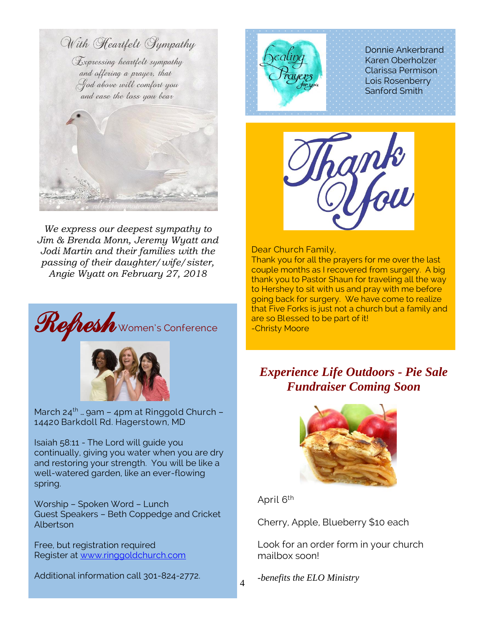

*We express our deepest sympathy to Jim & Brenda Monn, Jeremy Wyatt and Jodi Martin and their families with the passing of their daughter/wife/sister, Angie Wyatt on February 27, 2018*





March  $24^{th}$  ... gam - 4pm at Ringgold Church -14420 Barkdoll Rd. Hagerstown, MD

Isaiah 58:11 - The Lord will guide you continually, giving you water when you are dry and restoring your strength. You will be like a well-watered garden, like an ever-flowing spring.

Worship – Spoken Word – Lunch Guest Speakers – Beth Coppedge and Cricket Albertson

Free, but registration required Register at [www.ringgoldchurch.com](http://www.ringgoldchurch.com/)

Additional information call 301-824-2772.



Donnie Ankerbrand Karen Oberholzer Clarissa Permison Lois Rosenberry Sanford Smith



Dear Church Family,

Thank you for all the prayers for me over the last couple months as I recovered from surgery. A big thank you to Pastor Shaun for traveling all the way to Hershey to sit with us and pray with me before going back for surgery. We have come to realize that Five Forks is just not a church but a family and

# *Experience Life Outdoors - Pie Sale Fundraiser Coming Soon*



April 6th

Cherry, Apple, Blueberry \$10 each

Look for an order form in your church mailbox soon!

*-benefits the ELO Ministry*

4